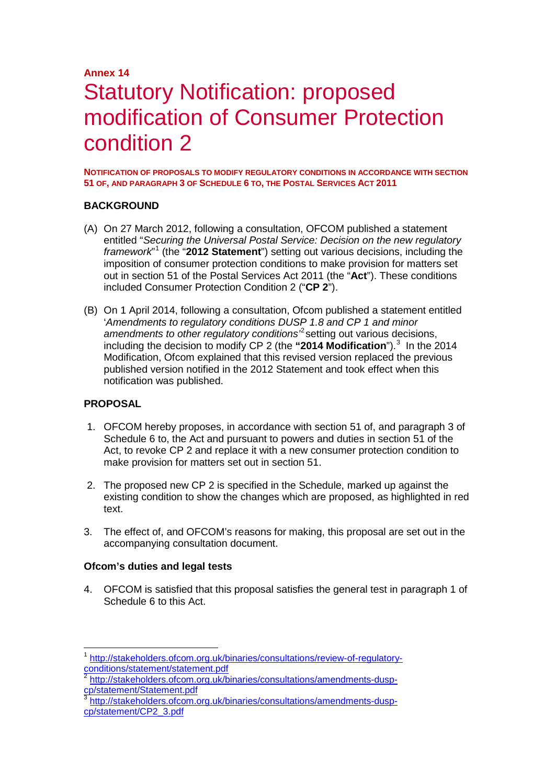# **Annex 14** Statutory Notification: proposed modification of Consumer Protection condition 2

**NOTIFICATION OF PROPOSALS TO MODIFY REGULATORY CONDITIONS IN ACCORDANCE WITH SECTION 51 OF, AND PARAGRAPH 3 OF SCHEDULE 6 TO, THE POSTAL SERVICES ACT 2011**

## **BACKGROUND**

- (A) On 27 March 2012, following a consultation, OFCOM published a statement entitled "*Securing the Universal Postal Service: Decision on the new regulatory framework*" [1](#page-0-0) (the "**2012 Statement**") setting out various decisions, including the imposition of consumer protection conditions to make provision for matters set out in section 51 of the Postal Services Act 2011 (the "**Act**"). These conditions included Consumer Protection Condition 2 ("**CP 2**").
- (B) On 1 April 2014, following a consultation, Ofcom published a statement entitled '*Amendments to regulatory conditions DUSP 1.8 and CP 1 and minor amendments to other regulatory conditions'*[2](#page-0-1) setting out various decisions, including the decision to modify CP 2 (the "2014 Modification").<sup>[3](#page-0-2)</sup> In the 2014 Modification, Ofcom explained that this revised version replaced the previous published version notified in the 2012 Statement and took effect when this notification was published.

## **PROPOSAL**

- 1. OFCOM hereby proposes, in accordance with section 51 of, and paragraph 3 of Schedule 6 to, the Act and pursuant to powers and duties in section 51 of the Act, to revoke CP 2 and replace it with a new consumer protection condition to make provision for matters set out in section 51.
- 2. The proposed new CP 2 is specified in the Schedule, marked up against the existing condition to show the changes which are proposed, as highlighted in red text.
- 3. The effect of, and OFCOM's reasons for making, this proposal are set out in the accompanying consultation document.

## **Ofcom's duties and legal tests**

4. OFCOM is satisfied that this proposal satisfies the general test in paragraph 1 of Schedule 6 to this Act.

<span id="page-0-0"></span><sup>&</sup>lt;sup>1</sup> [http://stakeholders.ofcom.org.uk/binaries/consultations/review-of-regulatory](http://stakeholders.ofcom.org.uk/binaries/consultations/review-of-regulatory-conditions/statement/statement.pdf)[conditions/statement/statement.pdf](http://stakeholders.ofcom.org.uk/binaries/consultations/review-of-regulatory-conditions/statement/statement.pdf)

<span id="page-0-1"></span><sup>&</sup>lt;sup>2</sup> http://stakeholders.ofcom.org.uk/binaries/consultations/amendments-dusp-<br>cp/statement/Statement.pdf

<span id="page-0-2"></span>[http://stakeholders.ofcom.org.uk/binaries/consultations/amendments-dusp](http://stakeholders.ofcom.org.uk/binaries/consultations/amendments-dusp-cp/statement/CP2_3.pdf)[cp/statement/CP2\\_3.pdf](http://stakeholders.ofcom.org.uk/binaries/consultations/amendments-dusp-cp/statement/CP2_3.pdf)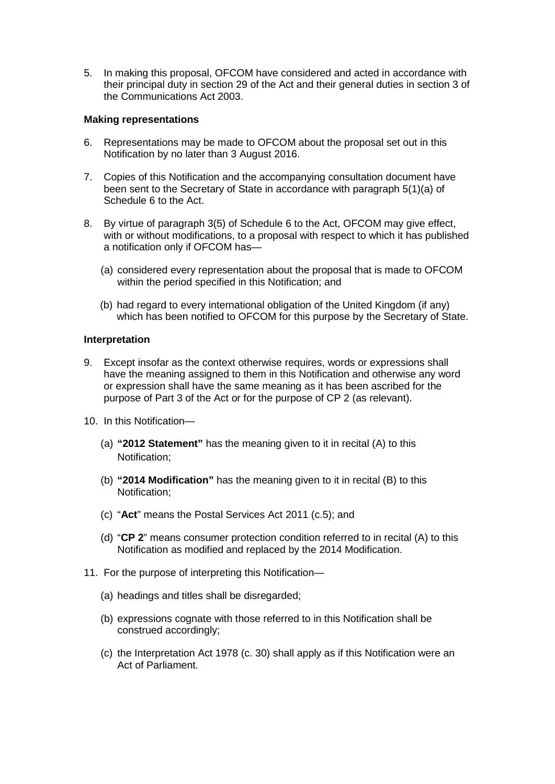5. In making this proposal, OFCOM have considered and acted in accordance with their principal duty in section 29 of the Act and their general duties in section 3 of the Communications Act 2003.

### **Making representations**

- 6. Representations may be made to OFCOM about the proposal set out in this Notification by no later than 3 August 2016.
- 7. Copies of this Notification and the accompanying consultation document have been sent to the Secretary of State in accordance with paragraph 5(1)(a) of Schedule 6 to the Act.
- 8. By virtue of paragraph 3(5) of Schedule 6 to the Act, OFCOM may give effect, with or without modifications, to a proposal with respect to which it has published a notification only if OFCOM has—
	- (a) considered every representation about the proposal that is made to OFCOM within the period specified in this Notification; and
	- (b) had regard to every international obligation of the United Kingdom (if any) which has been notified to OFCOM for this purpose by the Secretary of State.

### **Interpretation**

- 9. Except insofar as the context otherwise requires, words or expressions shall have the meaning assigned to them in this Notification and otherwise any word or expression shall have the same meaning as it has been ascribed for the purpose of Part 3 of the Act or for the purpose of CP 2 (as relevant).
- 10. In this Notification—
	- (a) **"2012 Statement"** has the meaning given to it in recital (A) to this Notification;
	- (b) **"2014 Modification"** has the meaning given to it in recital (B) to this Notification;
	- (c) "**Act**" means the Postal Services Act 2011 (c.5); and
	- (d) "**CP 2**" means consumer protection condition referred to in recital (A) to this Notification as modified and replaced by the 2014 Modification.
- 11. For the purpose of interpreting this Notification—
	- (a) headings and titles shall be disregarded;
	- (b) expressions cognate with those referred to in this Notification shall be construed accordingly;
	- (c) the Interpretation Act 1978 (c. 30) shall apply as if this Notification were an Act of Parliament.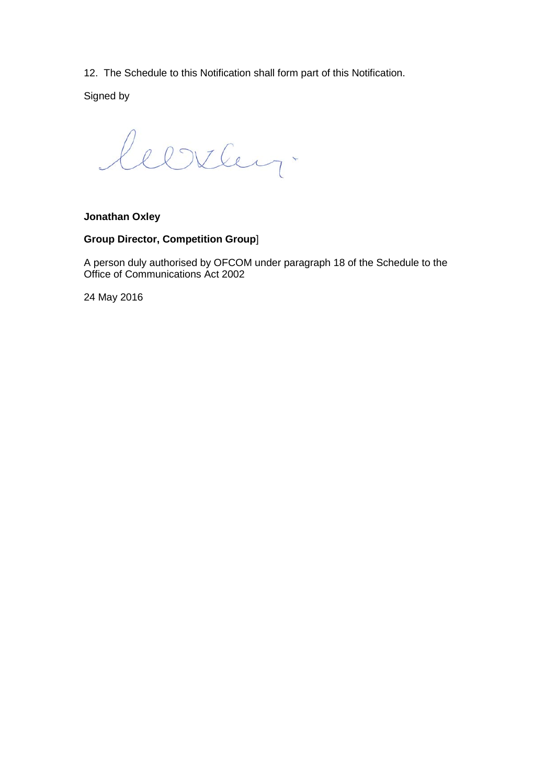12. The Schedule to this Notification shall form part of this Notification.

Signed by

leerley.

## **Jonathan Oxley**

## **Group Director, Competition Group**]

A person duly authorised by OFCOM under paragraph 18 of the Schedule to the Office of Communications Act 2002

24 May 2016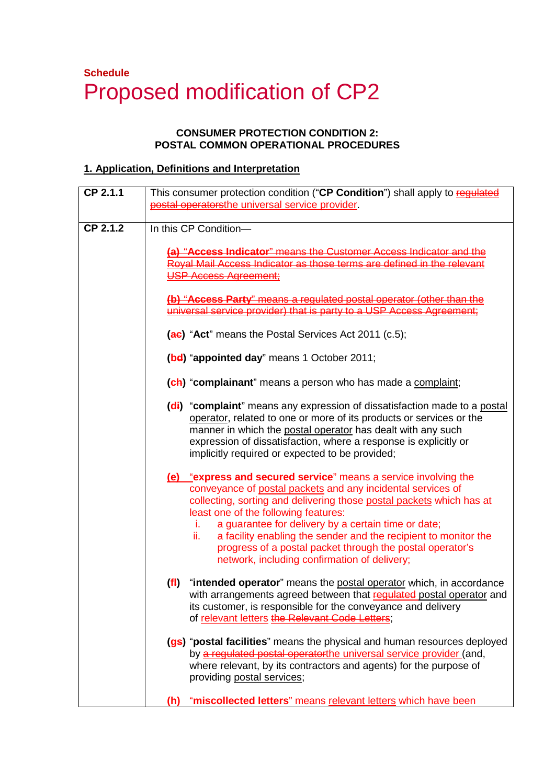# **Schedule**  Proposed modification of CP2

# **CONSUMER PROTECTION CONDITION 2: POSTAL COMMON OPERATIONAL PROCEDURES**

# **1. Application, Definitions and Interpretation**

| $CP$ 2.1.1 | This consumer protection condition ("CP Condition") shall apply to regulated<br>postal operatorsthe universal service provider.                                                                                                                                                                                                                                                                                                                                                                    |
|------------|----------------------------------------------------------------------------------------------------------------------------------------------------------------------------------------------------------------------------------------------------------------------------------------------------------------------------------------------------------------------------------------------------------------------------------------------------------------------------------------------------|
| CP 2.1.2   | In this CP Condition-<br>(a) "Access Indicator" means the Customer Access Indicator and the<br>Royal Mail Access Indicator as those terms are defined in the relevant<br><b>USP Access Agreement:</b>                                                                                                                                                                                                                                                                                              |
|            | (b) "Access Party" means a regulated postal operator (other than the<br>universal service provider) that is party to a USP Access Agreement;                                                                                                                                                                                                                                                                                                                                                       |
|            | (ae) "Act" means the Postal Services Act 2011 (c.5);<br>(bd) "appointed day" means 1 October 2011;                                                                                                                                                                                                                                                                                                                                                                                                 |
|            | (ch) "complainant" means a person who has made a complaint;                                                                                                                                                                                                                                                                                                                                                                                                                                        |
|            | (di) "complaint" means any expression of dissatisfaction made to a postal<br>operator, related to one or more of its products or services or the<br>manner in which the postal operator has dealt with any such<br>expression of dissatisfaction, where a response is explicitly or<br>implicitly required or expected to be provided;                                                                                                                                                             |
|            | (e) "express and secured service" means a service involving the<br>conveyance of postal packets and any incidental services of<br>collecting, sorting and delivering those postal packets which has at<br>least one of the following features:<br>a guarantee for delivery by a certain time or date;<br>i.<br>a facility enabling the sender and the recipient to monitor the<br>ii.<br>progress of a postal packet through the postal operator's<br>network, including confirmation of delivery; |
|            | "intended operator" means the postal operator which, in accordance<br>(f <sup>1</sup> )<br>with arrangements agreed between that regulated postal operator and<br>its customer, is responsible for the conveyance and delivery<br>of relevant letters the Relevant Code Letters;                                                                                                                                                                                                                   |
|            | (gs) "postal facilities" means the physical and human resources deployed<br>by a regulated postal operatorthe universal service provider (and,<br>where relevant, by its contractors and agents) for the purpose of<br>providing postal services;                                                                                                                                                                                                                                                  |
|            | "miscollected letters" means relevant letters which have been<br>(h)                                                                                                                                                                                                                                                                                                                                                                                                                               |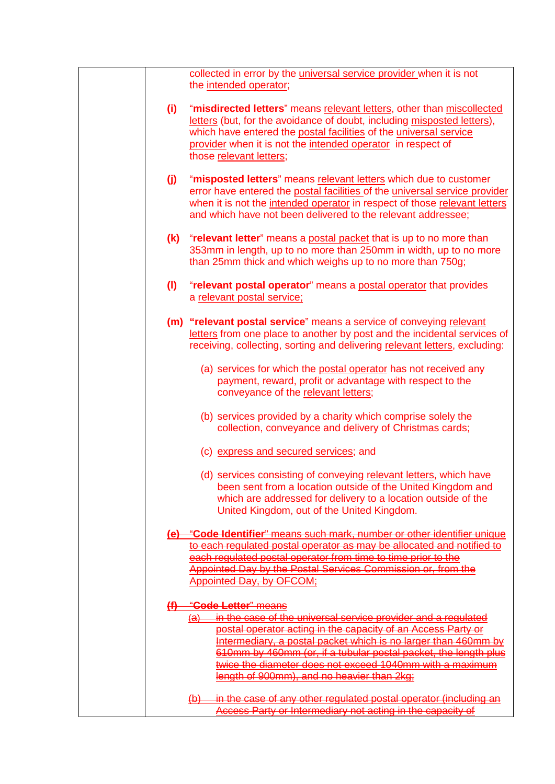|     | collected in error by the <i>universal service</i> provider when it is not<br>the intended operator;                                                                                                                                                                                                                                                                                           |
|-----|------------------------------------------------------------------------------------------------------------------------------------------------------------------------------------------------------------------------------------------------------------------------------------------------------------------------------------------------------------------------------------------------|
| (i) | "misdirected letters" means relevant letters, other than miscollected<br>letters (but, for the avoidance of doubt, including misposted letters),<br>which have entered the postal facilities of the universal service<br>provider when it is not the intended operator in respect of<br>those relevant letters;                                                                                |
| (i) | "misposted letters" means relevant letters which due to customer<br>error have entered the postal facilities of the universal service provider<br>when it is not the intended operator in respect of those relevant letters<br>and which have not been delivered to the relevant addressee;                                                                                                    |
|     | (k) "relevant letter" means a postal packet that is up to no more than<br>353mm in length, up to no more than 250mm in width, up to no more<br>than 25mm thick and which weighs up to no more than 750g;                                                                                                                                                                                       |
| (1) | "relevant postal operator" means a postal operator that provides<br>a relevant postal service;                                                                                                                                                                                                                                                                                                 |
|     | (m) "relevant postal service" means a service of conveying relevant<br>letters from one place to another by post and the incidental services of<br>receiving, collecting, sorting and delivering relevant letters, excluding:                                                                                                                                                                  |
|     | (a) services for which the postal operator has not received any<br>payment, reward, profit or advantage with respect to the<br>conveyance of the relevant letters;                                                                                                                                                                                                                             |
|     | (b) services provided by a charity which comprise solely the<br>collection, conveyance and delivery of Christmas cards;                                                                                                                                                                                                                                                                        |
|     | (c) express and secured services; and                                                                                                                                                                                                                                                                                                                                                          |
|     | (d) services consisting of conveying relevant letters, which have<br>been sent from a location outside of the United Kingdom and<br>which are addressed for delivery to a location outside of the<br>United Kingdom, out of the United Kingdom.                                                                                                                                                |
|     | (e) "Code Identifier" means such mark, number or other identifier unique                                                                                                                                                                                                                                                                                                                       |
|     | to each regulated postal operator as may be allocated and notified to<br>each regulated postal operator from time to time prior to the                                                                                                                                                                                                                                                         |
|     | Appointed Day by the Postal Services Commission or, from the<br><b>Appointed Day, by OFCOM;</b>                                                                                                                                                                                                                                                                                                |
|     | (f) "Code Letter" means                                                                                                                                                                                                                                                                                                                                                                        |
|     | in the case of the universal service provider and a regulated<br><del>(a)</del><br>postal operator acting in the capacity of an Access Party or<br>Intermediary, a postal packet which is no larger than 460mm by<br>610mm by 460mm (or, if a tubular postal packet, the length plus<br>twice the diameter does not exceed 1040mm with a maximum<br>length of 900mm), and no heavier than 2kg; |
|     | (b) in the case of any other regulated postal operator (including an<br>Access Party or Intermediary not acting in the capacity of                                                                                                                                                                                                                                                             |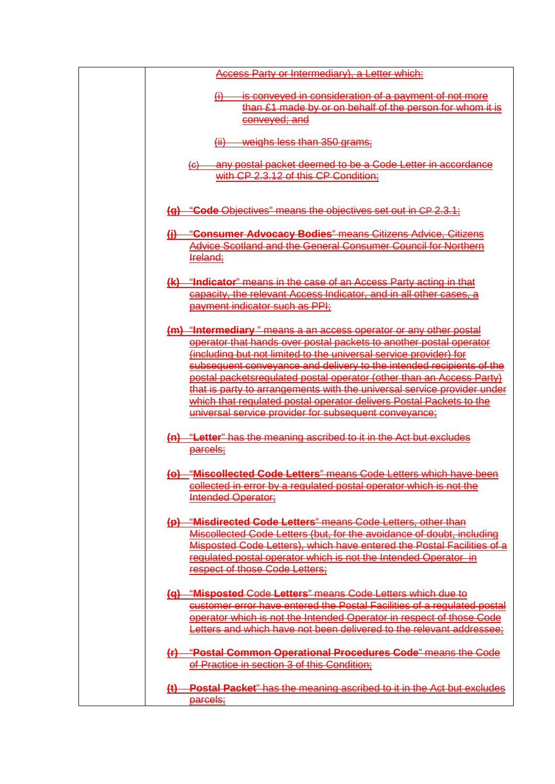| Access Party or Intermediary), a Letter which:                                                                                                                                                                                                                                                                                                                                                                                                                                                                                                                          |
|-------------------------------------------------------------------------------------------------------------------------------------------------------------------------------------------------------------------------------------------------------------------------------------------------------------------------------------------------------------------------------------------------------------------------------------------------------------------------------------------------------------------------------------------------------------------------|
| $\overline{\omega}$<br>is conveyed in consideration of a payment of not more<br>than £1 made by or on behalf of the person for whom it is<br>conveyed; and                                                                                                                                                                                                                                                                                                                                                                                                              |
| $(ii)$ weighs less than 350 grams;                                                                                                                                                                                                                                                                                                                                                                                                                                                                                                                                      |
| (c) any postal packet deemed to be a Code Letter in accordance<br>with CP 2.3.12 of this CP Condition;                                                                                                                                                                                                                                                                                                                                                                                                                                                                  |
| (a) "Code Objectives" means the objectives set out in CP 2.3.1;                                                                                                                                                                                                                                                                                                                                                                                                                                                                                                         |
| "Consumer Advocacy Bodies" means Citizens Advice, Citizens<br>$\theta$<br>Advice Scotland and the General Consumer Council for Northern<br>Ireland;                                                                                                                                                                                                                                                                                                                                                                                                                     |
| (k) "Indicator" means in the case of an Access Party acting in that<br>capacity, the relevant Access Indicator, and in all other cases, a<br>payment indicator such as PPI:                                                                                                                                                                                                                                                                                                                                                                                             |
| (m) "Intermediary" means a an access operator or any other postal<br>operator that hands over postal packets to another postal operator<br>(including but not limited to the universal service provider) for<br>subsequent conveyance and delivery to the intended recipients of the<br>postal packetsregulated postal operator (other than an Access Party)<br>that is party to arrangements with the universal service provider under<br>which that regulated postal operator delivers Postal Packets to the<br>universal service provider for subsequent conveyance; |
| (n) "Letter" has the meaning ascribed to it in the Act but excludes<br><u>parcels;</u>                                                                                                                                                                                                                                                                                                                                                                                                                                                                                  |
| (o) "Miscollected Code Letters" means Code Letters which have been<br>collected in error by a regulated postal operator which is not the<br>Intended Operator;                                                                                                                                                                                                                                                                                                                                                                                                          |
| (p) "Misdirected Code Letters" means Code Letters, other than<br>Miscollected Code Letters (but, for the avoidance of doubt, including<br>Misposted Code Letters), which have entered the Postal Facilities of a<br>regulated postal operator which is not the Intended Operator in<br>respect of those Code Letters;                                                                                                                                                                                                                                                   |
| (q) "Misposted Code Letters" means Code Letters which due to<br>customer error have entered the Postal Facilities of a regulated postal<br>operator which is not the Intended Operator in respect of those Code<br>Letters and which have not been delivered to the relevant addressee:                                                                                                                                                                                                                                                                                 |
| (r) "Postal Common Operational Procedures Code" means the Code<br>of Practice in section 3 of this Condition;                                                                                                                                                                                                                                                                                                                                                                                                                                                           |
| (t) Postal Packet" has the meaning ascribed to it in the Act but excludes<br>parcels;                                                                                                                                                                                                                                                                                                                                                                                                                                                                                   |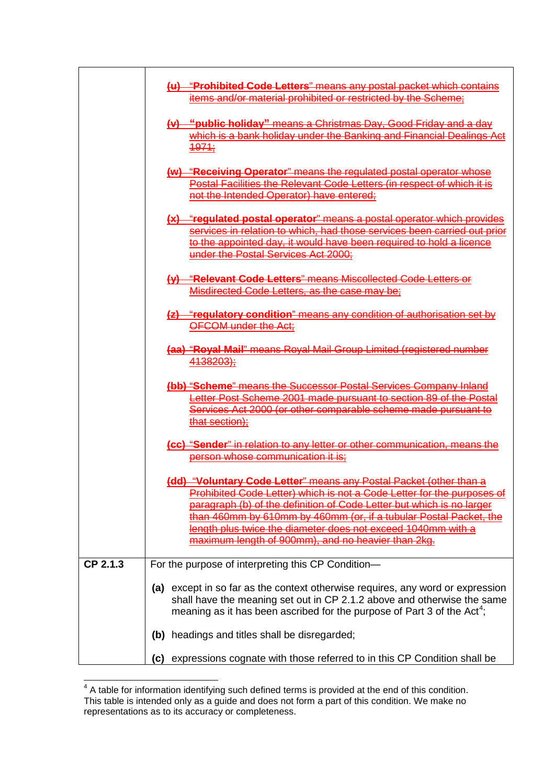|          | (u) "Prohibited Code Letters" means any postal packet which contains<br>items and/or material prohibited or restricted by the Scheme: |  |  |
|----------|---------------------------------------------------------------------------------------------------------------------------------------|--|--|
|          |                                                                                                                                       |  |  |
|          | (v) "public holiday" means a Christmas Day, Good Friday and a day                                                                     |  |  |
|          | which is a bank holiday under the Banking and Financial Dealings Act                                                                  |  |  |
|          | 4974:                                                                                                                                 |  |  |
|          | (w) "Receiving Operator" means the regulated postal operator whose                                                                    |  |  |
|          | Postal Facilities the Relevant Code Letters (in respect of which it is                                                                |  |  |
|          | not the Intended Operator) have entered;                                                                                              |  |  |
|          | (x) "regulated postal operator" means a postal operator which provides                                                                |  |  |
|          | services in relation to which, had those services been carried out prior                                                              |  |  |
|          | to the appointed day, it would have been required to hold a licence                                                                   |  |  |
|          | under the Postal Services Act 2000;                                                                                                   |  |  |
|          | (y) "Relevant Code Letters" means Miscollected Code Letters or                                                                        |  |  |
|          | Misdirected Code Letters, as the case may be;                                                                                         |  |  |
|          |                                                                                                                                       |  |  |
|          | (z) "regulatory condition" means any condition of authorisation set by<br>OFCOM under the Act;                                        |  |  |
|          |                                                                                                                                       |  |  |
|          | (aa) "Royal Mail" means Royal Mail Group Limited (registered number                                                                   |  |  |
|          | 4138203);                                                                                                                             |  |  |
|          | (bb) "Scheme" means the Successor Postal Services Company Inland                                                                      |  |  |
|          | Letter Post Scheme 2001 made pursuant to section 89 of the Postal                                                                     |  |  |
|          | Services Act 2000 (or other comparable scheme made pursuant to                                                                        |  |  |
|          | that section);                                                                                                                        |  |  |
|          | (cc) "Sender" in relation to any letter or other communication, means the                                                             |  |  |
|          | person whose communication it is:                                                                                                     |  |  |
|          | (dd) "Voluntary Code Letter" means any Postal Packet (other than a                                                                    |  |  |
|          | Prohibited Code Letter) which is not a Code Letter for the purposes of                                                                |  |  |
|          | paragraph (b) of the definition of Code Letter but which is no larger                                                                 |  |  |
|          | than 460mm by 610mm by 460mm (or, if a tubular Postal Packet, the                                                                     |  |  |
|          | length plus twice the diameter does not exceed 1040mm with a                                                                          |  |  |
|          | maximum length of 900mm), and no heavier than 2kg.                                                                                    |  |  |
| CP 2.1.3 | For the purpose of interpreting this CP Condition-                                                                                    |  |  |
|          | (a) except in so far as the context otherwise requires, any word or expression                                                        |  |  |
|          | shall have the meaning set out in CP 2.1.2 above and otherwise the same                                                               |  |  |
|          | meaning as it has been ascribed for the purpose of Part 3 of the Act <sup>4</sup> ;                                                   |  |  |
|          |                                                                                                                                       |  |  |
|          | headings and titles shall be disregarded;<br>(b)                                                                                      |  |  |
|          | expressions cognate with those referred to in this CP Condition shall be<br>(c)                                                       |  |  |

<span id="page-6-0"></span>The matable for information identifying such defined terms is provided at the end of this condition. This table is intended only as a guide and does not form a part of this condition. We make no representations as to its accuracy or completeness.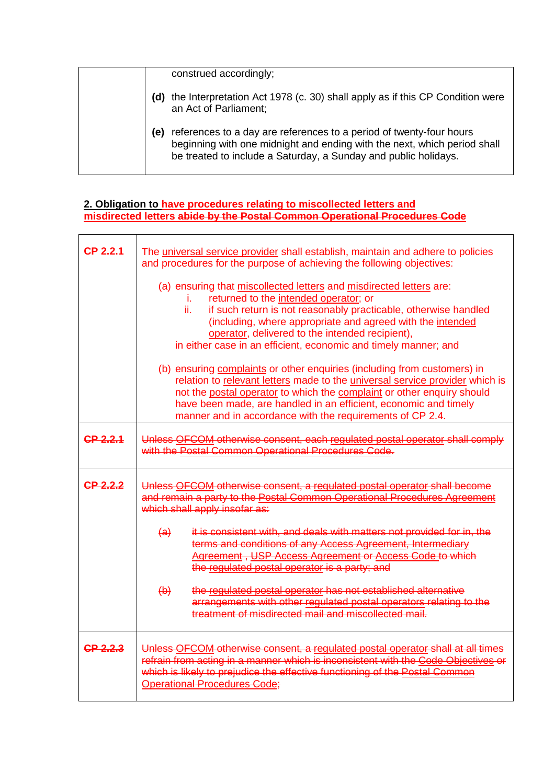|     | construed accordingly;                                                                                                                                                                                             |
|-----|--------------------------------------------------------------------------------------------------------------------------------------------------------------------------------------------------------------------|
|     | (d) the Interpretation Act 1978 (c. 30) shall apply as if this CP Condition were<br>an Act of Parliament;                                                                                                          |
| (e) | references to a day are references to a period of twenty-four hours<br>beginning with one midnight and ending with the next, which period shall<br>be treated to include a Saturday, a Sunday and public holidays. |

## **2. Obligation to have procedures relating to miscollected letters and misdirected letters abide by the Postal Common Operational Procedures Code**

| <b>CP 2.2.1</b> | The universal service provider shall establish, maintain and adhere to policies<br>and procedures for the purpose of achieving the following objectives:<br>(a) ensuring that miscollected letters and misdirected letters are:<br>returned to the intended operator; or<br>Ĺ.<br>ii.<br>if such return is not reasonably practicable, otherwise handled<br>(including, where appropriate and agreed with the intended<br>operator, delivered to the intended recipient),<br>in either case in an efficient, economic and timely manner; and<br>(b) ensuring complaints or other enquiries (including from customers) in<br>relation to relevant letters made to the universal service provider which is<br>not the postal operator to which the complaint or other enquiry should<br>have been made, are handled in an efficient, economic and timely<br>manner and in accordance with the requirements of CP 2.4. |  |  |
|-----------------|---------------------------------------------------------------------------------------------------------------------------------------------------------------------------------------------------------------------------------------------------------------------------------------------------------------------------------------------------------------------------------------------------------------------------------------------------------------------------------------------------------------------------------------------------------------------------------------------------------------------------------------------------------------------------------------------------------------------------------------------------------------------------------------------------------------------------------------------------------------------------------------------------------------------|--|--|
| CP 2.2.1        | Unless OFCOM otherwise consent, each regulated postal operator shall comply<br>with the Postal Common Operational Procedures Code.                                                                                                                                                                                                                                                                                                                                                                                                                                                                                                                                                                                                                                                                                                                                                                                  |  |  |
| CP 2.2.2        | Unless OFCOM otherwise consent, a regulated postal operator shall become<br>and remain a party to the Postal Common Operational Procedures Agreement<br>which shall apply insofar as:                                                                                                                                                                                                                                                                                                                                                                                                                                                                                                                                                                                                                                                                                                                               |  |  |
|                 | it is consistent with, and deals with matters not provided for in, the<br>$\left(\mathbf{a}\right)$<br>terms and conditions of any Access Agreement, Intermediary<br>Agreement, USP Access Agreement or Access Code to which<br>the regulated postal operator is a party; and                                                                                                                                                                                                                                                                                                                                                                                                                                                                                                                                                                                                                                       |  |  |
|                 | the regulated postal operator has not established alternative<br>$\leftrightarrow$<br>arrangements with other regulated postal operators relating to the<br>treatment of misdirected mail and miscollected mail.                                                                                                                                                                                                                                                                                                                                                                                                                                                                                                                                                                                                                                                                                                    |  |  |
| <b>CP 2.2.3</b> | Unless OFCOM otherwise consent, a regulated postal operator shall at all times<br>refrain from acting in a manner which is inconsistent with the Code Objectives or<br>which is likely to prejudice the effective functioning of the Postal Common<br><b>Operational Procedures Code;</b>                                                                                                                                                                                                                                                                                                                                                                                                                                                                                                                                                                                                                           |  |  |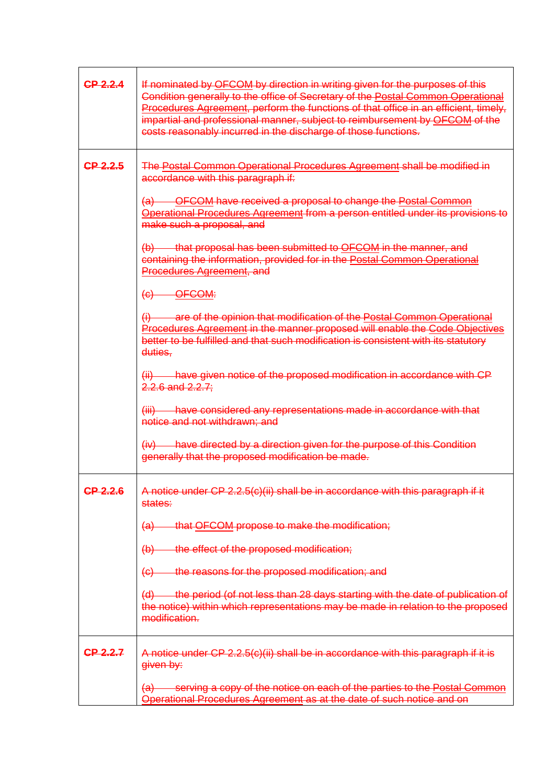| CP 2.2.4 | If nominated by OFCOM by direction in writing given for the purposes of this<br>Condition generally to the office of Secretary of the Postal Common Operational<br>Procedures Agreement, perform the functions of that office in an efficient, timely,<br>impartial and professional manner, subject to reimbursement by OFCOM of the<br>costs reasonably incurred in the discharge of those functions. |
|----------|---------------------------------------------------------------------------------------------------------------------------------------------------------------------------------------------------------------------------------------------------------------------------------------------------------------------------------------------------------------------------------------------------------|
| CP 2.2.5 | The Postal Common Operational Procedures Agreement shall be modified in<br>accordance with this paragraph if:                                                                                                                                                                                                                                                                                           |
|          | (a) OFCOM have received a proposal to change the Postal Common<br>Operational Procedures Agreement from a person entitled under its provisions to<br>make such a proposal, and                                                                                                                                                                                                                          |
|          | (b) that proposal has been submitted to OFCOM in the manner, and<br>containing the information, provided for in the Postal Common Operational<br>Procedures Agreement, and                                                                                                                                                                                                                              |
|          | $(e)$ OFCOM:                                                                                                                                                                                                                                                                                                                                                                                            |
|          | (i) are of the opinion that modification of the Postal Common Operational<br>Procedures Agreement in the manner proposed will enable the Code Objectives<br>better to be fulfilled and that such modification is consistent with its statutory<br>duties.                                                                                                                                               |
|          | (ii) have given notice of the proposed modification in accordance with CP<br>$2.2.6$ and $2.2.7$ ;                                                                                                                                                                                                                                                                                                      |
|          | (iii) have considered any representations made in accordance with that<br>notice and not withdrawn; and                                                                                                                                                                                                                                                                                                 |
|          | $(iv)$ have directed by a direction given for the purpose of this Condition<br>generally that the proposed modification be made.                                                                                                                                                                                                                                                                        |
| CP 2.2.6 | A notice under CP 2.2.5(c)(ii) shall be in accordance with this paragraph if it<br>states:                                                                                                                                                                                                                                                                                                              |
|          | that OFCOM propose to make the modification;<br><del>(a)</del>                                                                                                                                                                                                                                                                                                                                          |
|          | the effect of the proposed modification;<br>$\left(\mathsf{b}\right)$                                                                                                                                                                                                                                                                                                                                   |
|          | the reasons for the proposed modification; and<br>(e)                                                                                                                                                                                                                                                                                                                                                   |
|          | (d) the period (of not less than 28 days starting with the date of publication of<br>the notice) within which representations may be made in relation to the proposed<br>modification.                                                                                                                                                                                                                  |
| CP 2.2.7 | A notice under CP 2.2.5(c)(ii) shall be in accordance with this paragraph if it is<br>given by:                                                                                                                                                                                                                                                                                                         |
|          | (a) serving a copy of the notice on each of the parties to the Postal Common<br>Operational Procedures Agreement as at the date of such notice and on                                                                                                                                                                                                                                                   |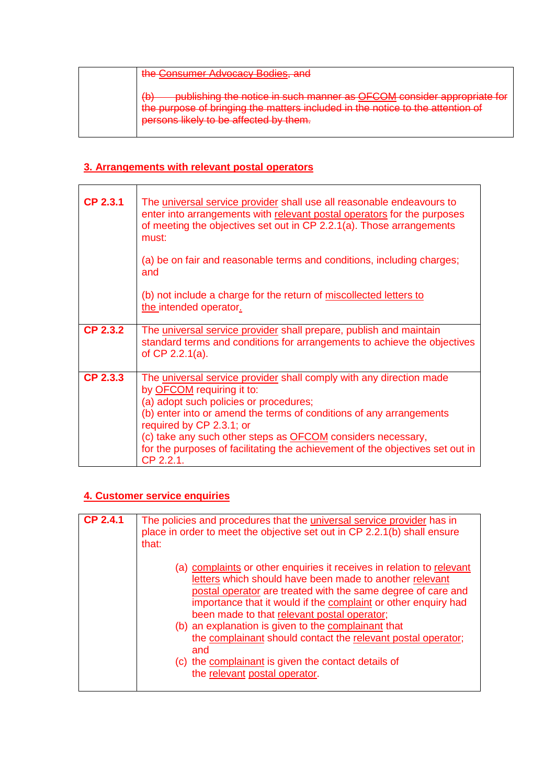| the Consumer Advocacy Bodies, and                                                                                                                                                                                                      |
|----------------------------------------------------------------------------------------------------------------------------------------------------------------------------------------------------------------------------------------|
| publishing the notice in such manner as OECOM consider appropriate for<br>the nurnese of bringing the metters included in the notice to the ettention of<br><u>the barbood or binging th</u><br>persons likely to be affected by them. |

# **3. Arrangements with relevant postal operators**

| <b>CP 2.3.1</b> | The universal service provider shall use all reasonable endeavours to<br>enter into arrangements with relevant postal operators for the purposes<br>of meeting the objectives set out in CP 2.2.1(a). Those arrangements<br>must:<br>(a) be on fair and reasonable terms and conditions, including charges;<br>and                                                                                                       |
|-----------------|--------------------------------------------------------------------------------------------------------------------------------------------------------------------------------------------------------------------------------------------------------------------------------------------------------------------------------------------------------------------------------------------------------------------------|
|                 | (b) not include a charge for the return of miscollected letters to<br>the intended operator.                                                                                                                                                                                                                                                                                                                             |
| <b>CP 2.3.2</b> | The universal service provider shall prepare, publish and maintain<br>standard terms and conditions for arrangements to achieve the objectives<br>of CP 2.2.1(a).                                                                                                                                                                                                                                                        |
| CP 2.3.3        | The universal service provider shall comply with any direction made<br>by <b>OFCOM</b> requiring it to:<br>(a) adopt such policies or procedures;<br>(b) enter into or amend the terms of conditions of any arrangements<br>required by CP 2.3.1; or<br>(c) take any such other steps as <b>OFCOM</b> considers necessary,<br>for the purposes of facilitating the achievement of the objectives set out in<br>CP 2.2.1. |

# **4. Customer service enquiries**

| <b>CP 2.4.1</b> | The policies and procedures that the universal service provider has in<br>place in order to meet the objective set out in CP 2.2.1(b) shall ensure<br>that:                                                                                                                                                                                                                                                                                                                                                                             |  |  |
|-----------------|-----------------------------------------------------------------------------------------------------------------------------------------------------------------------------------------------------------------------------------------------------------------------------------------------------------------------------------------------------------------------------------------------------------------------------------------------------------------------------------------------------------------------------------------|--|--|
|                 | (a) complaints or other enquiries it receives in relation to relevant<br>letters which should have been made to another relevant<br>postal operator are treated with the same degree of care and<br>importance that it would if the complaint or other enquiry had<br>been made to that relevant postal operator;<br>(b) an explanation is given to the complainant that<br>the complainant should contact the relevant postal operator;<br>and<br>(c) the complainant is given the contact details of<br>the relevant postal operator. |  |  |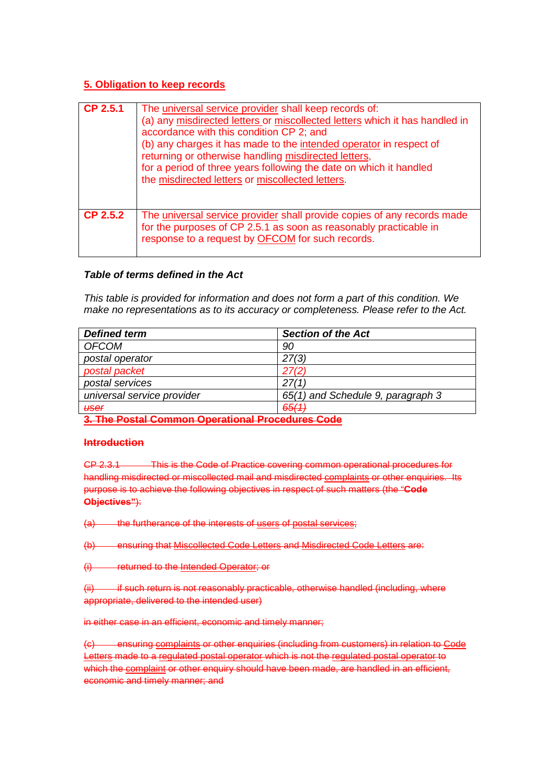# **5. Obligation to keep records**

| CP 2.5.1        | The universal service provider shall keep records of:<br>(a) any misdirected letters or miscollected letters which it has handled in<br>accordance with this condition CP 2; and<br>(b) any charges it has made to the intended operator in respect of<br>returning or otherwise handling misdirected letters,<br>for a period of three years following the date on which it handled<br>the misdirected letters or miscollected letters. |
|-----------------|------------------------------------------------------------------------------------------------------------------------------------------------------------------------------------------------------------------------------------------------------------------------------------------------------------------------------------------------------------------------------------------------------------------------------------------|
| <b>CP 2.5.2</b> | The universal service provider shall provide copies of any records made<br>for the purposes of CP 2.5.1 as soon as reasonably practicable in<br>response to a request by <b>OFCOM</b> for such records.                                                                                                                                                                                                                                  |

## *Table of terms defined in the Act*

*This table is provided for information and does not form a part of this condition. We make no representations as to its accuracy or completeness. Please refer to the Act.*

| <b>Defined term</b>                                   | <b>Section of the Act</b>         |  |
|-------------------------------------------------------|-----------------------------------|--|
| <b>OFCOM</b>                                          | 90                                |  |
| postal operator                                       | 27(3)                             |  |
| postal packet                                         | 27(2)                             |  |
| postal services                                       | 27/1                              |  |
| universal service provider                            | 65(1) and Schedule 9, paragraph 3 |  |
| <del>user</del>                                       | 65(1)                             |  |
| A. The Beatel Assumed Advanced and Based June - Assle |                                   |  |

**3. The Postal Common Operational Procedures Code**

### **Introduction**

CP 2.3.1 This is the Code of Practice covering common operational procedures for handling misdirected or miscollected mail and misdirected complaints or other enquiries. Its purpose is to achieve the following objectives in respect of such matters (the "**Code Objectives"**):

(a) the furtherance of the interests of users of postal services;

(b) ensuring that Miscollected Code Letters and Misdirected Code Letters are:

(i) returned to the Intended Operator; or

(ii) if such return is not reasonably practicable, otherwise handled (including, where appropriate, delivered to the intended user)

in either case in an efficient, economic and timely manner;

(c) ensuring complaints or other enquiries (including from customers) in relation to Code Letters made to a regulated postal operator which is not the regulated postal operator to which the complaint or other enquiry should have been made, are handled in an efficient. economic and timely manner; and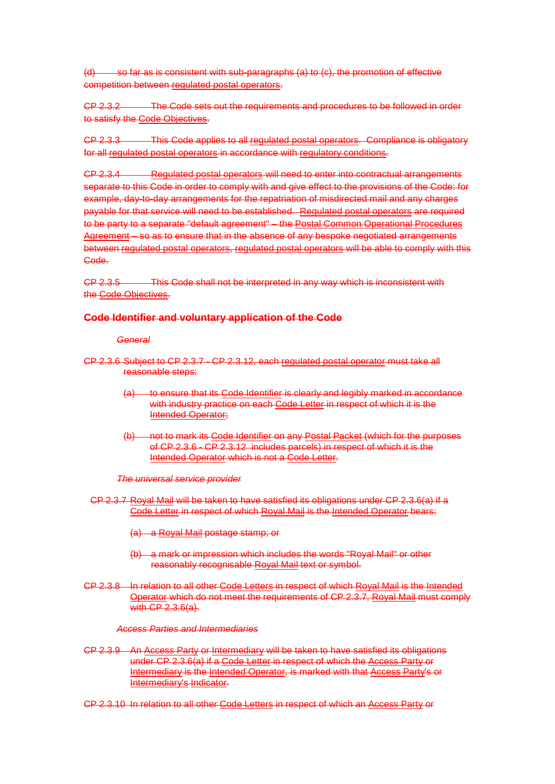so far as is consistent with sub-paragraphs  $(a)$  to  $(c)$ , the promotion of effective competition between regulated postal operators.

CP 2.3.2 The Code sets out the requirements and procedures to be followed in order to satisfy the Code Objectives.

CP 2.3.3 This Code applies to all regulated postal operators. Compliance is obligatory for all regulated postal operators in accordance with regulatory conditions.

CP 2.3.4 Regulated postal operators will need to enter into contractual arrangements separate to this Code in order to comply with and give effect to the provisions of the Code: for example, day-to-day arrangements for the repatriation of misdirected mail and any charges payable for that service will need to be established. Regulated postal operators are required to be party to a separate "default agreement" – the Postal Common Operational Procedures Agreement – so as to ensure that in the absence of any bespoke negotiated arrangements between regulated postal operators, regulated postal operators will be able to comply with this Code.

CP 2.3.5 This Code shall not be interpreted in any way which is inconsistent with the Code Objectives.

### **Code Identifier and voluntary application of the Code**

#### *General*

- CP 2.3.6 Subject to CP 2.3.7 CP 2.3.12, each regulated postal operator must take all reasonable steps:
	- (a) to ensure that its Code Identifier is clearly and legibly marked in accordance with industry practice on each Code Letter in respect of which it is the Intended Operator;
	- (b) not to mark its Code Identifier on any Postal Packet (which for the purposes of CP 2.3.6 - CP 2.3.12 includes parcels) in respect of which it is the Intended Operator which is not a Code Letter.

*The universal service provider*

- CP 2.3.7 Royal Mail will be taken to have satisfied its obligations under CP 2.3.6(a) if a Code Letter in respect of which Royal Mail is the Intended Operator bears:
	- (a) a Royal Mail postage stamp; or
	- (b) a mark or impression which includes the words "Royal Mail" or other reasonably recognisable Royal Mail text or symbol.
- CP 2.3.8 In relation to all other Code Letters in respect of which Royal Mail is the Intended Operator which do not meet the requirements of CP 2.3.7, Royal Mail must comply with CP 2.3.6(a).

### *Access Parties and Intermediaries*

- CP 2.3.9 An Access Party or Intermediary will be taken to have satisfied its obligations under CP 2.3.6(a) if a Code Letter in respect of which the Access Party or Intermediary is the Intended Operator, is marked with that Access Party's or Intermediary's Indicator.
- CP 2.3.10 In relation to all other Code Letters in respect of which an Access Party or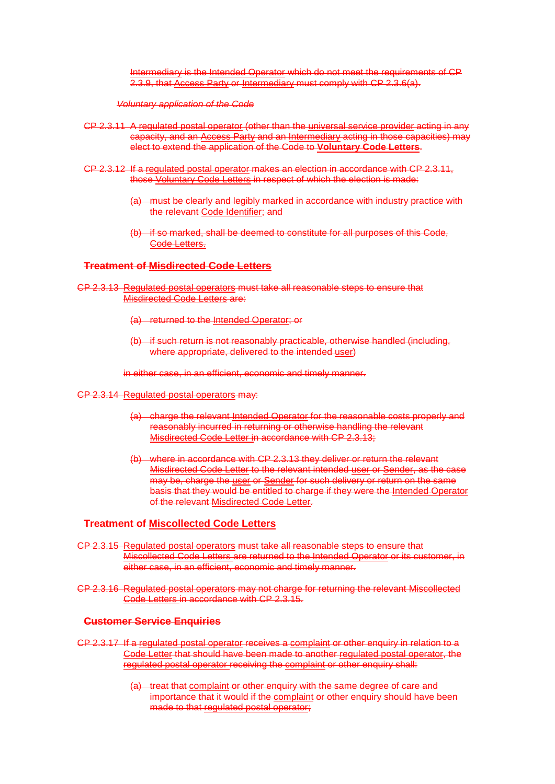Intermediary is the Intended Operator which do not meet the requirements of CP 2.3.9, that Access Party or Intermediary must comply with CP 2.3.6(a).

*Voluntary application of the Code* 

- CP 2.3.11 A regulated postal operator (other than the universal service provider acting in any capacity, and an Access Party and an Intermediary acting in those capacities) may elect to extend the application of the Code to **Voluntary Code Letters**.
- CP 2.3.12 If a regulated postal operator makes an election in accordance with CP 2.3.11, those Voluntary Code Letters in respect of which the election is made:
	- (a) must be clearly and legibly marked in accordance with industry practice with the relevant Code Identifier; and
	- (b) if so marked, shall be deemed to constitute for all purposes of this Code, Code Letters.

### **Treatment of Misdirected Code Letters**

- CP 2.3.13 Regulated postal operators must take all reasonable steps to ensure that Misdirected Code Letters are:
	- (a) returned to the Intended Operator; or
	- (b) if such return is not reasonably practicable, otherwise handled (including, where appropriate, delivered to the intended user)

in either case, in an efficient, economic and timely manner.

- CP 2.3.14 Regulated postal operators may:
	- (a) charge the relevant Intended Operator for the reasonable costs properly and reasonably incurred in returning or otherwise handling the relevant Misdirected Code Letter in accordance with CP 2.3.13;
	- (b) where in accordance with CP 2.3.13 they deliver or return the relevant Misdirected Code Letter to the relevant intended user or Sender, as the case may be, charge the user or Sender for such delivery or return on the same basis that they would be entitled to charge if they were the Intended Operator of the relevant Misdirected Code Letter.

### **Treatment of Miscollected Code Letters**

- CP 2.3.15 Regulated postal operators must take all reasonable steps to ensure that Miscollected Code Letters are returned to the Intended Operator or its customer, in either case, in an efficient, economic and timely manner.
- CP 2.3.16 Regulated postal operators may not charge for returning the relevant Miscollected Code Letters in accordance with CP 2.3.15.

#### **Customer Service Enquiries**

- CP 2.3.17 If a regulated postal operator receives a complaint or other enquiry in relation to a Code Letter that should have been made to another regulated postal operator, the regulated postal operator receiving the complaint or other enquiry shall:
	- (a) treat that complaint or other enquiry with the same degree of care and importance that it would if the complaint or other enquiry should have been made to that regulated postal operator;